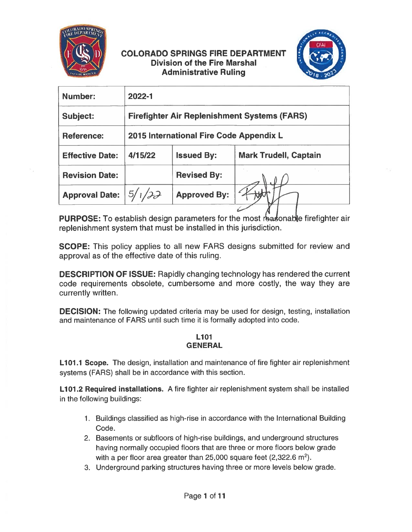

# COLORADO SPRINGS FIRE DEPARTMENT Division of the Fire Marshal Administrative Ruling



| Number:                | 2022-1                                              |                     |                              |
|------------------------|-----------------------------------------------------|---------------------|------------------------------|
| <b>Subject:</b>        | <b>Firefighter Air Replenishment Systems (FARS)</b> |                     |                              |
| <b>Reference:</b>      | 2015 International Fire Code Appendix L             |                     |                              |
| <b>Effective Date:</b> | 4/15/22                                             | <b>Issued By:</b>   | <b>Mark Trudell, Captain</b> |
| <b>Revision Date:</b>  |                                                     | <b>Revised By:</b>  |                              |
| <b>Approval Date:</b>  | 1/22                                                | <b>Approved By:</b> |                              |
|                        |                                                     |                     |                              |

PURPOSE: To establish design parameters for the most reasonable firefighter air replenishment system that must be installed in this jurisdiction.

SCOPE: This policy applies to all new FARS designs submitted for review and approval as of the effective date of this ruling.

DESCRIPTION OF ISSUE: Rapidly changing technology has rendered the current code requirements obsolete, cumbersome and more costly, the way they are currently written.

**DECISION:** The following updated criteria may be used for design, testing, installation and maintenance of FARS until such time it is formally adopted into code.

### L<sub>101</sub> **GENERAL**

L101.1 Scope. The design, installation and maintenance of fire fighter air replenishment systems (FARS) shall be in accordance with this section.

L101.2 Required installations. A fire fighter air replenishment system shall be installed in the following buildings:

- 1. Buildings classified as high-rise in accordance with the International Building Code.
- 2. Basements or subfloors of high-rise buildings, and underground structures having normally occupied floors that are three or more floors below grade with a per floor area greater than 25,000 square feet  $(2,322.6 \text{ m}^2)$ .
- 3. Underground parking structures having three or more levels below grade.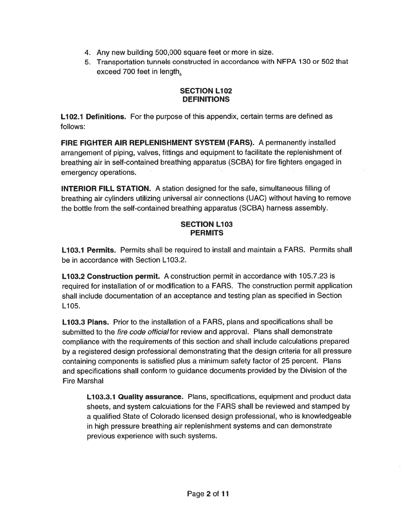- 4. Any new building 500,000 square feet or more in size.
- 5. Transportation tunnels constructed in accordance with NFPA 130 or 502 that exceed 700 feet in length:

## SECTION L102 **DEFINITIONS**

**L102.1 Definitions.** For the purpose of this appendix, certain terms are defined as follows:

FIRE FIGHTER AIR REPLENISHMENT SYSTEM (FARS). A permanently installed arrangemen<sup>t</sup> of <sup>p</sup>iping, valves, fittings and equipment to facilitate the replenishment of breathing air in self-contained breathing apparatus (SCBA) for fire fighters engaged in emergency operations.

INTERIOR FILL STATION. A station designed for the safe, simultaneous filling of breathing air cylinders utilizing universal air connections (UAC) without having to remove the bottle from the self-contained breathing apparatus (SCBA) harness assembly.

# SECTION L103 **PERMITS**

**L103.1 Permits.** Permits shall be required to install and maintain a FARS. Permits shall be in accordance with Section L103.2.

**L103.2 Construction permit.** A construction permit in accordance with 105.7.23 is required for installation of or modification to <sup>a</sup> EARS. The construction permit application shall include documentation of an acceptance and testing plan as specified in Section L105.

L103.3 Plans. Prior to the installation of a FARS, plans and specifications shall be submitted to the *fire code official* for review and approval. Plans shall demonstrate compliance with the requirements of this section and shall include calculations prepared by <sup>a</sup> registered design professional demonstrating that the design criteria for all pressure containing components is satisfied <sup>p</sup>lus <sup>a</sup> minimum safety factor of 25 percent. Plans and specifications shall conform to guidance documents provided by the Division of the Eire Marshal

<code>L103.3.1</code> Quality assurance. <code>Plans,</code> specifications, equipment and product data sheets, and system calculations for the EARS shall be reviewed and stamped by a qualified State of Colorado licensed design professional, who is knowledgeable in high pressure breathing air replenishment systems and can demonstrate previous experience with such systems.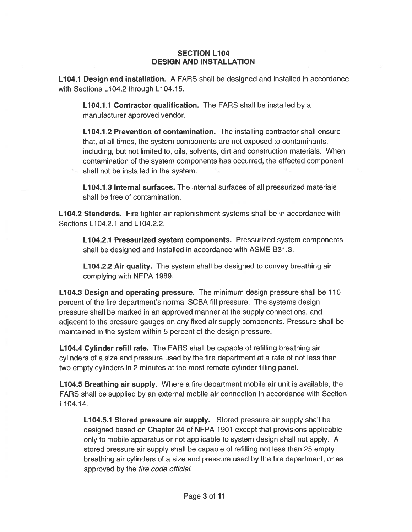#### SECTION L104 DESIGN AND INSTALLATION

L104.1 Design and installation. A EARS shall be designed and installed in accordance with Sections L104.2 through L104.15.

**L104.1.1 Contractor qualification.** The FARS shall be installed by a manufacturer approved vendor.

L104.1.2 Prevention of contamination. The installing contractor shall ensure that, at all times, the system components are not exposed to contaminants, including, but not limited to, oils, solvents, dirt and construction materials. When contamination of the system components has occurred, the effected componen<sup>t</sup> shall not be installed in the system.

L104.1.3 Internal surfaces. The internal surfaces of all pressurized materials shall be free of contamination.

**L104.2 Standards.** Fire fighter air replenishment systems shall be in accordance with Sections L104.2.1 and L104.2.2.

L104.2.1 Pressurized system components. Pressurized system components shall be designed and installed in accordance with ASME B31.3.

L104.2.2 Air quality. The system shall be designed to convey breathing air complying with NFPA 1989.

L104.3 Design and operating pressure. The minimum design pressure shall be 110 percen<sup>t</sup> of the fire department's normal SCBA fill pressure. The systems design pressure shall be marked in an approved manner at the supply connections, and adjacent to the pressure gauges on any fixed air supply components. Pressure shall be maintained in the system within 5 percen<sup>t</sup> of the design pressure.

L104.4 Cylinder refill rate. The FARS shall be capable of refilling breathing air cylinders of <sup>a</sup> size and pressure used by the fire department at <sup>a</sup> rate of not less than two empty cylinders in 2 minutes at the most remote cylinder filling panel.

L104.5 Breathing air supply. Where a fire department mobile air unit is available, the EARS shall be supplied by an external mobile air connection in accordance with Section L104.14.

L104.5.1 Stored pressure air supply. Stored pressure air supply shall be designed based on Chapter 24 of NFPA 1901 excep<sup>t</sup> that provisions applicable only to mobile apparatus or not applicable to system design shall not apply. A stored pressure air supply shall be capable of refilling not less than 25 empty breathing air cylinders of <sup>a</sup> size and pressure used by the fire department, or as approved by the fire code official.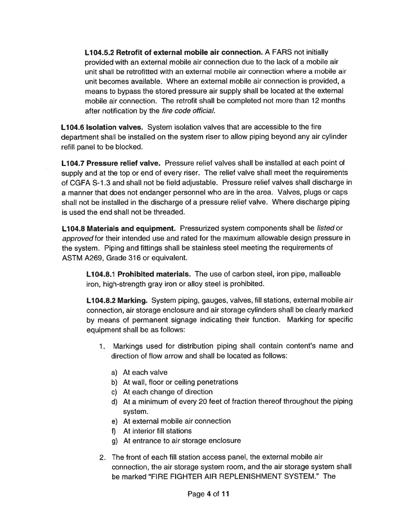L104.5.2 Retrofit of external mobile air connection. A FARS not initially provided with an external mobile air connection due to the lack of <sup>a</sup> mobile air unit shall be retrofitted with an external mobile air connection where <sup>a</sup> mobile air unit becomes available. Where an external mobile air connection is provided, <sup>a</sup> means to bypass the stored pressure air supply shall be located at the external mobile air connection. The retrofit shall be completed not more than 12 months after notification by the *fire code official.* 

<code>L104.6</code> Isolation valves.  $\,$  System isolation valves that are accessible to the fire  $\,$ department shall be installed on the system riser to allow <sup>p</sup>iping beyond any air cylinder refill panel to be blocked.

**L104.7 Pressure relief valve.** Pressure relief valves shall be installed at each point of supply and at the top or end of every riser. The relief valve shall meet the requirements of CGFA S-1.3 and shall not be field adjustable. Pressure relief valves shall discharge in a manner that does not endanger personnel who are in the area. Valves, plugs or caps shall not be installed in the discharge of <sup>a</sup> pressure relief valve. Where discharge piping is used the end shall not be threaded.

**L104.8 Materials and equipment.** Pressurized system components shall be *listed* or approve<sup>d</sup> for their intended use and rated for the maximum allowable design pressure in the system. Piping and fittings shall be stainless steel meeting the requirements of ASTM A269, Grade 316 or equivalent.

**L104.8.1 Prohibited materials.** The use of carbon steel, iron pipe, malleable iron, high-strength gray iron or alloy steel is prohibited.

**L104.8.2 Marking.** System piping, gauges, valves, fill stations, external mobile air connection, air storage enclosure and air storage cylinders shall be clearly marked by means of permanen<sup>t</sup> signage indicating their function. Marking for specific equipment shall be as follows:

- 1. Markings used for distribution piping shall contain content's name and direction of flow arrow and shall be located as follows:
	- a) At each valve
	- b) At wall, floor or ceiling penetrations
	- c) At each change of direction
	- d) At <sup>a</sup> minimum of every 20 feet of fraction thereof throughout the piping system.
	- e) At external mobile air connection
	- f) At interior fill stations
	- g) At entrance to air storage enclosure
- 2. The front of each fill station access panel, the external mobile air connection, the air storage system room, and the air storage system shall be marked "EIRE EIGHTER AIR REPLENISHMENT SYSTEM." The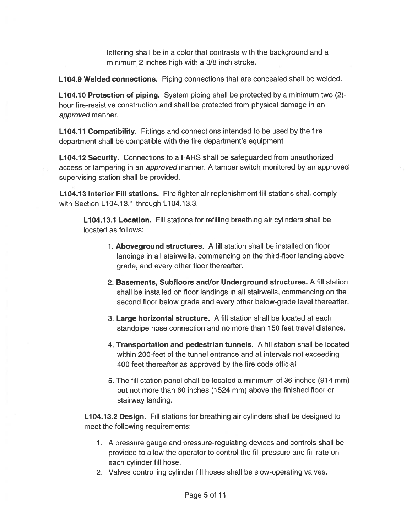lettering shall be in <sup>a</sup> color that contrasts with the background and <sup>a</sup> minimum 2 inches high with <sup>a</sup> 3/8 inch stroke.

**L104.9 Welded connections.** Piping connections that are concealed shall be welded.

**L104.10 Protection of piping.** System piping shall be protected by a minimum two  $(2)$ hour fire-resistive construction and shall be protected from physical damage in an approved manner.

**L104.11 Compatibility.** Fittings and connections intended to be used by the fire department shall be compatible with the fire department's equipment.

L104.12 Security. Connections to a FARS shall be safeguarded from unauthorized access or tampering in an approved manner. <sup>A</sup> tamper switch monitored by an approved supervising station shall be provided.

**L104.13 Interior Fill stations.** Fire fighter air replenishment fill stations shall comply with Section L104.13.1 through L104.13.3.

**L104.13.1 Location.** Fill stations for refilling breathing air cylinders shall be located as follows:

- 1. Aboveground structures. A fill station shall be installed on floor landings in all stairwells, commencing on the third-floor landing above grade, and every other floor thereafter.
- 2. Basements, Subfloors and/or Underground structures. A fill station shall be installed on floor landings in all stairwells, commencing on the second floor below grade and every other below-grade level thereafter.
- 3. Large horizontal structure. A fill station shall be located at each standpipe hose connection and no more than 150 feet travel distance.
- 4. Transportation and pedestrian tunnels. A fill station shall be located within 200-feet of the tunnel entrance and at intervals not exceeding 400 feet thereafter as approved by the fire code official.
- 5. The fill station panel shall be located <sup>a</sup> minimum of 36 inches (914 mm) but not more than 60 inches (1524 mm) above the finished floor or stairway landing.

L104.13.2 Design. Fill stations for breathing air cylinders shall be designed to meet the following requirements:

- 1. A pressure gauge and pressure-regulating devices and controls shall be provided to allow the operator to control the fill pressure and fill rate on each cylinder fill hose.
- 2. Valves controlling cylinder fill hoses shall be slow-operating valves.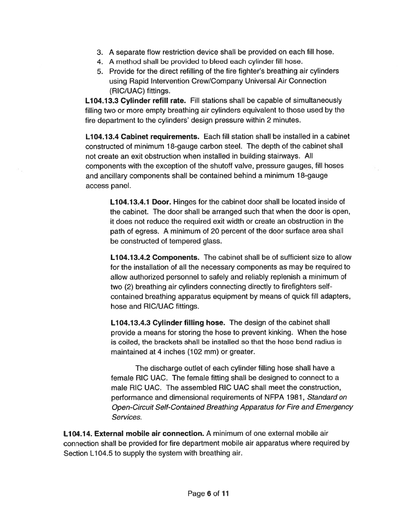- 3. A separate flow restriction device shall be provided on each fill hose.
- 4. A method shall be provided to bleed each cylinder fill hose.
- 5. Provide for the direct refilling of the fire fighter's breathing air cylinders using Rapid Intervention Crew/Company Universal Air Connection (RIC/UAC) fittings.

L104.13.3 Cylinder refill rate. Fill stations shall be capable of simultaneously filling two or more empty breathing air cylinders equivalent to those used by the fire department to the cylinders' design pressure within 2 minutes.

**L104.13.4 Cabinet requirements.** Each fill station shall be installed in a cabinet constructed of minimum 18-gauge carbon steel. The depth of the cabinet shall not create an exit obstruction when installed in building stairways. All components with the exception of the shutoff valve, pressure gauges, fill hoses and ancillary components shall be contained behind <sup>a</sup> minimum 18-gauge access panel.

**L104.13.4.1 Door.** Hinges for the cabinet door shall be located inside of the cabinet. The door shall be arranged such that when the door is open, it does not reduce the required exit width or create an obstruction in the path of egress. <sup>A</sup> minimum of 20 percen<sup>t</sup> of the door surface area shall be constructed of tempered glass.

**L104.13.4.2 Components.** The cabinet shall be of sufficient size to allow for the installation of all the necessary components as may be required to allow authorized personnel to safely and reliably replenish <sup>a</sup> minimum of two (2) breathing air cylinders connecting directly to firefighters selfcontained breathing apparatus equipment by means of quick fill adapters, hose and RIC/UAC fittings.

**L104.13.4.3 Cylinder filling hose.** The design of the cabinet shal provide <sup>a</sup> means for storing the hose to preven<sup>t</sup> kinking. When the hose is coiled, the brackets shall be installed so that the hose bend radius is maintained at 4 inches (102 mm) or greater.

The discharge outlet of each cylinder filling hose shall have <sup>a</sup> female RIC UAC. The female fitting shall be designed to connect to <sup>a</sup> male RIC UAC. The assembled RIC UAC shall meet the construction, performance and dimensional requirements of NFPA 1981, Standard on Open-Circuit Self-Contained Breathing Apparatus for Fire and Emergency Services.

**L104.14. External mobile air connection.** A minimum of one external mobile air connection shall be provided for fire department mobile air apparatus where required by Section L104.5 to supply the system with breathing air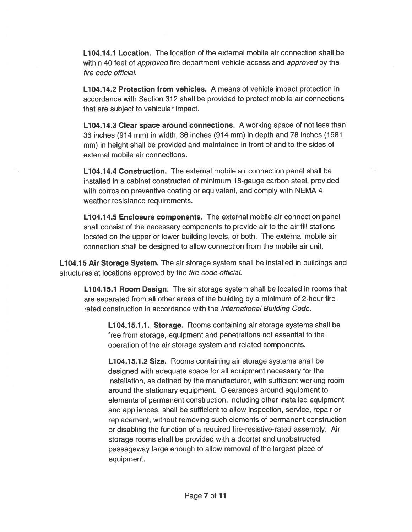L104.14.1 Location. The location of the external mobile air connection shall be within 40 feet of *approved* fire department vehicle access and *approved* by the fire code official.

L104.14.2 Protection from vehicles. A means of vehicle impact protection in accordance with Section 312 shall be provided to protect mobile air connections that are subject to vehicular impact.

L104.14.3 Clear space around connections. A working space of not less than 36 inches (914 mm) in width, 36 inches (914 mm) in depth and 78 inches (1981 mm) in height shall be provided and maintained in front of and to the sides of external mobile air connections.

Li 04.14.4 Construction. The external mobile air connection panel shall be installed in <sup>a</sup> cabinet constructed of minimum 18-gauge carbon steel, provided with corrosion preventive coating or equivalent, and comply with NEMA 4 weather resistance requirements.

L104.14.5 Enclosure components. The external mobile air connection panel shall consist of the necessary components to provide air to the air fill stations located on the upper or lower building levels, or both. The external mobile air connection shall be designed to allow connection from the mobile air unit.

**L104.15 Air Storage System.** The air storage system shall be installed in buildings and structures at locations approved by the fire code official.

L104.15.1 Room Design. The air storage system shall be located in rooms that are separated from all other areas of the building by <sup>a</sup> minimum of 2-hour firerated construction in accordance with the International Building Code.

Li04.15.1.1. Storage. Rooms containing air storage systems shall be free from storage, equipment and penetrations not essential to the operation of the air storage system and related components.

**L104.15.1.2 Size.** Rooms containing air storage systems shall be designed with adequate space for all equipment necessary for the installation, as defined by the manufacturer, with sufficient working room around the stationary equipment. Clearances around equipment to elements of permanen<sup>t</sup> construction, including other installed equipment and appliances, shall be sufficient to allow inspection, service, repair or replacement, without removing such elements of permanen<sup>t</sup> construction or disabling the function of <sup>a</sup> required fire-resistive-rated assembly. Air storage rooms shall be provided with <sup>a</sup> door(s) and unobstructed passageway large enough to allow removal of the largest piece of equipment.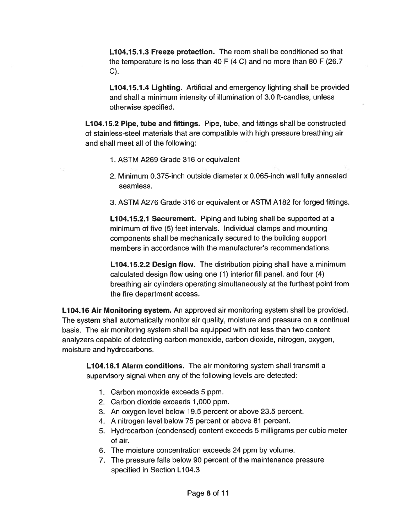L**104.15.1.3 Freeze protection.** The room shall be conditioned so that the temperature is no less than 40 F (4 C) and no more than 80 F (26.7 C).

L104.15.1.4 Lighting. Artificial and emergency lighting shall be provided and shall <sup>a</sup> minimum intensity of illumination of 3.0 ft-candIes, unless otherwise specified.

L104.15.2 Pipe, tube and fittings. Pipe, tube, and fittings shall be constructed of stainless-steel materials that are compatible with high pressure breathing air and shall meet all of the following:

- 1. ASTM A269 Grade 316 or equivalent
- 2. Minimum 0.375-inch outside diameter x 0.065-inch wall fully annealed seamless.
- 3. ASTM A276 Grade 316 or equivalent or ASTM A182 for forged fittings.

L104.15.2.1 Securement. Piping and tubing shall be supported at a minimum of five (5) feet intervals. Individual clamps and mounting components shall be mechanically secured to the building suppor<sup>t</sup> members in accordance with the manufacturer's recommendations.

**L104.15.2.2 Design flow.** The distribution piping shall have a minimum calculated design flow using one (1) interior fill panel, and four (4) breathing air cylinders operating simultaneously at the furthest point from the fire department access.

L104.16 Air Monitoring system. An approved air monitoring system shall be provided. The system shall automatically monitor air quality, moisture and pressure on <sup>a</sup> continual basis. The air monitoring system shall be equipped with not less than two content analyzers capable of detecting carbon monoxide, carbon dioxide, nitrogen, oxygen, moisture and hydrocarbons.

L104.16.1 Alarm conditions. The air monitoring system shall transmit a supervisory signal when any of the following levels are detected:

- 1. Carbon monoxide exceeds 5 ppm.
- 2. Carbon dioxide exceeds 1,000 ppm.
- 3. An oxygen level below 19.5 percen<sup>t</sup> or above 23.5 percent.
- 4. A nitrogen level below 75 percen<sup>t</sup> or above 81 percent.
- 5. Hydrocarbon (condensed) content exceeds 5 milligrams per cubic meter of air.
- 6. The moisture concentration exceeds 24 ppm by volume.
- 7. The pressure falls below 90 percen<sup>t</sup> of the maintenance pressure specified in Section L104.3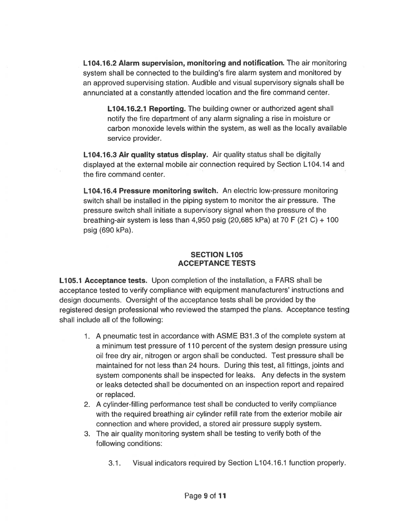L104.16.2 Alarm supervision, monitoring and notification. The air monitoring system shall be connected to the building's fire alarm system and monitored by an approved supervising station. Audible and visual supervisory signals shall be annunciated at <sup>a</sup> constantly attended location and the fire command center.

L104.16.2.1 Reporting. The building owner or authorized agen<sup>t</sup> shall notify the fire department of any alarm signaling <sup>a</sup> rise in moisture or carbon monoxide levels within the system, as well as the locally available service provider.

L104.16.3 Air quality status display. Air quality status shall be digitally displayed at the external mobile air connection required by Section L104.14 and the fire command center.

L104.16.4 Pressure monitoring switch. An electric low-pressure monitoring switch shall be installed in the piping system to monitor the air pressure. The pressure switch shall initiate <sup>a</sup> supervisory signal when the pressure of the breathing-air system is less than 4,950 psig (20,685 kPa) at 70 F (21 C) + 100 psig (690 kPa).

## SECTION L105 ACCEPTANCE TESTS

L105.1 Acceptance tests. Upon completion of the installation, <sup>a</sup> FARS shall be acceptance tested to verify compliance with equipment manufacturers' instructions and design documents. Oversight of the acceptance tests shall be provided by the registered design professional who reviewed the stamped the plans. Acceptance testing shall include all of the following:

- 1. A pneumatic test in accordance with ASME B31 .3 of the complete system at <sup>a</sup> minimum test pressure of 110 percen<sup>t</sup> of the system design pressure using oil free dry air, nitrogen or argon shall be conducted. Test pressure shall be maintained for not less than 24 hours. During this test, all fittings, joints and system components shall be inspected for leaks. Any defects in the system or leaks detected shall be documented on an inspection repor<sup>t</sup> and repaired or replaced.
- 2. A cylinder-filling performance test shall be conducted to verify compliance with the required breathing air cylinder refill rate from the exterior mobile air connection and where provided, <sup>a</sup> stored air pressure supply system.
- 3. The air quality monitoring system shall be testing to verify both of the following conditions:
	- 3.1. Visual indicators required by Section L104.16.1 function properly.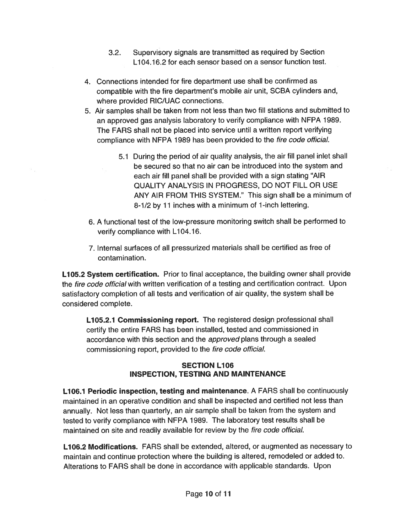- 3.2. Supervisory signals are transmitted as required by Section Li 04.16.2 for each sensor based on <sup>a</sup> sensor function test.
- 4. Connections intended for fire department use shall be confirmed as compatible with the fire department's mobile air unit, SCBA cylinders and, where provided RIC/UAC connections.
- 5. Air samples shall be taken from not less than two till stations and submitted to an approve<sup>d</sup> gas analysis laboratory to verify compliance with NFPA 1989. The EARS shall not be placed into service until <sup>a</sup> written repor<sup>t</sup> verifying compliance with NEPA 1989 has been provided to the fire code official.
	- 5.1 During the period of air quality analysis, the air fill panel inlet shall be secured so that no air can be introduced into the system and each air fill panel shall be provided with <sup>a</sup> sign stating "AIR QUALITY ANALYSIS IN PROGRESS, DO NOT FILL OR USE ANY AIR FROM THIS SYSTEM." This sign shall be <sup>a</sup> minimum of 8-1/2 by 11 inches with <sup>a</sup> minimum of 1-inch lettering.
- 6. A functional test of the low-pressure monitoring switch shall be performed to verify compliance with L104.16.
- 7. Internal surfaces of all pressurized materials shall be certified as free of contamination.

**L105.2 System certification.** Prior to final acceptance, the building owner shall provide the *fire code official* with written verification of a testing and certification contract. Upon satisfactory completion of all tests and verification of air quality, the system shall be considered complete.

**L105.2.1 Commissioning report.** The registered design professional shall certify the entire FARS has been installed, tested and commissioned in accordance with this section and the *approved* plans through a sealed commissioning report, provided to the fire code official.

# SECTION L106 INSPECTION, TESTING AND MAINTENANCE

**L106.1 Periodic inspection, testing and maintenance**. A FARS shall be continuously maintained in an operative condition and shall be inspected and certified not less than annually. Not less than quarterly, an air sample shall be taken from the system and tested to verify compliance with NFPA 1989. The laboratory test results shall be maintained on site and readily available for review by the *fire code official*.

**L106.2 Modifications.** FARS shall be extended, altered, or augmented as necessary to maintain and continue protection where the building is altered, remodeled or added to. Alterations to EARS shall be done in accordance with applicable standards. Upon